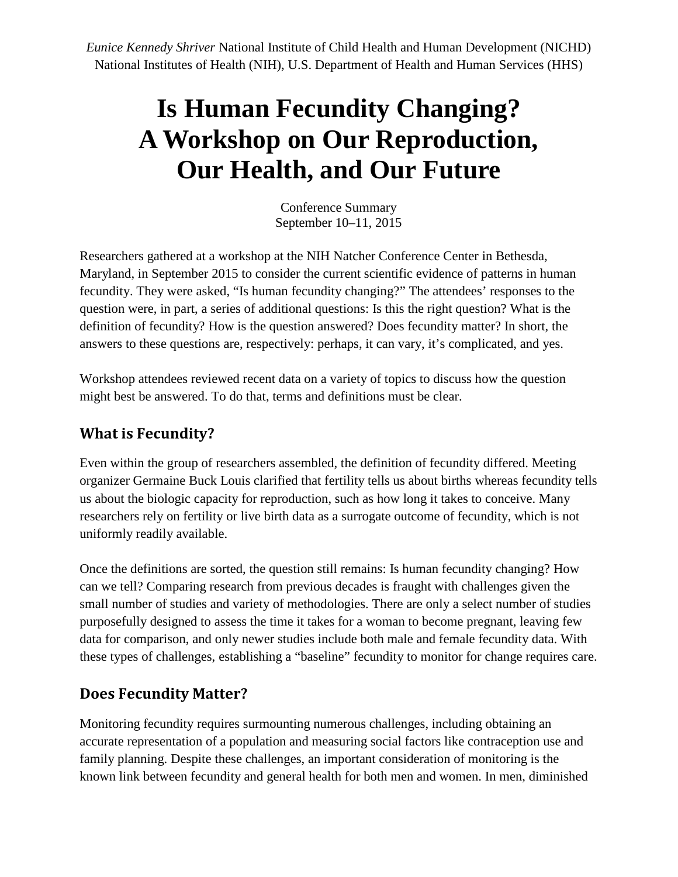*Eunice Kennedy Shriver* National Institute of Child Health and Human Development (NICHD) National Institutes of Health (NIH), U.S. Department of Health and Human Services (HHS)

# **Is Human Fecundity Changing? A Workshop on Our Reproduction, Our Health, and Our Future**

Conference Summary September 10–11, 2015

Researchers gathered at a workshop at the NIH Natcher Conference Center in Bethesda, Maryland, in September 2015 to consider the current scientific evidence of patterns in human fecundity. They were asked, "Is human fecundity changing?" The attendees' responses to the question were, in part, a series of additional questions: Is this the right question? What is the definition of fecundity? How is the question answered? Does fecundity matter? In short, the answers to these questions are, respectively: perhaps, it can vary, it's complicated, and yes.

Workshop attendees reviewed recent data on a variety of topics to discuss how the question might best be answered. To do that, terms and definitions must be clear.

#### **What is Fecundity?**

Even within the group of researchers assembled, the definition of fecundity differed. Meeting organizer Germaine Buck Louis clarified that fertility tells us about births whereas fecundity tells us about the biologic capacity for reproduction, such as how long it takes to conceive. Many researchers rely on fertility or live birth data as a surrogate outcome of fecundity, which is not uniformly readily available.

Once the definitions are sorted, the question still remains: Is human fecundity changing? How can we tell? Comparing research from previous decades is fraught with challenges given the small number of studies and variety of methodologies. There are only a select number of studies purposefully designed to assess the time it takes for a woman to become pregnant, leaving few data for comparison, and only newer studies include both male and female fecundity data. With these types of challenges, establishing a "baseline" fecundity to monitor for change requires care.

#### **Does Fecundity Matter?**

Monitoring fecundity requires surmounting numerous challenges, including obtaining an accurate representation of a population and measuring social factors like contraception use and family planning. Despite these challenges, an important consideration of monitoring is the known link between fecundity and general health for both men and women. In men, diminished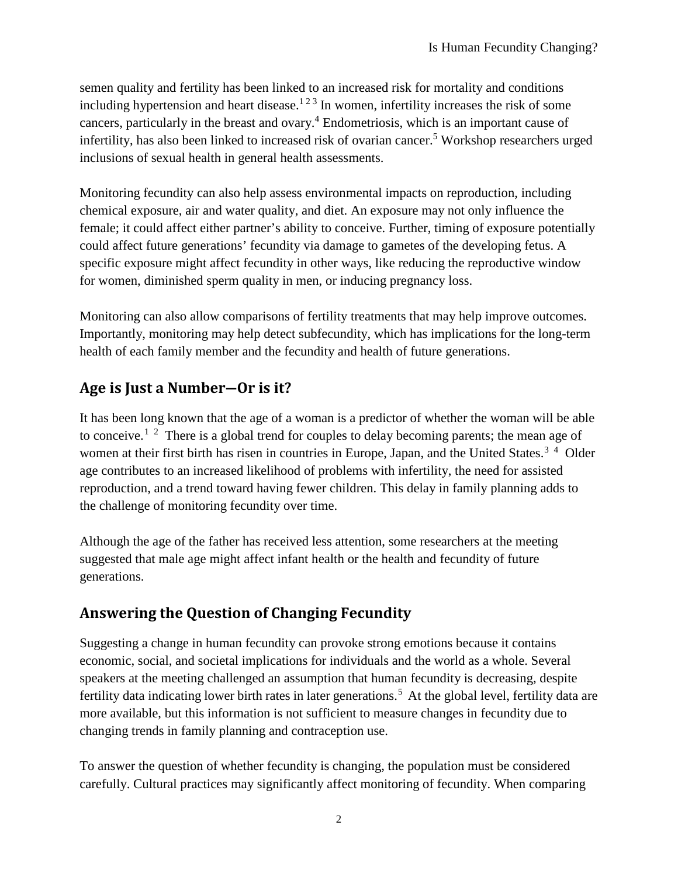semen quality and fertility has been linked to an increased risk for mortality and conditions including hypertension and heart disease.<sup>123</sup> In women, infertility increases the risk of some cancers, particularly in the breast and ovary.<sup>4</sup> Endometriosis, which is an important cause of infertility, has also been linked to increased risk of ovarian cancer.<sup>5</sup> Workshop researchers urged inclusions of sexual health in general health assessments.

Monitoring fecundity can also help assess environmental impacts on reproduction, including chemical exposure, air and water quality, and diet. An exposure may not only influence the female; it could affect either partner's ability to conceive. Further, timing of exposure potentially could affect future generations' fecundity via damage to gametes of the developing fetus. A specific exposure might affect fecundity in other ways, like reducing the reproductive window for women, diminished sperm quality in men, or inducing pregnancy loss.

Monitoring can also allow comparisons of fertility treatments that may help improve outcomes. Importantly, monitoring may help detect subfecundity, which has implications for the long-term health of each family member and the fecundity and health of future generations.

### **Age is Just a Number―Or is it?**

It has been long known that the age of a woman is a predictor of whether the woman will be able to conceive.<sup>[1](#page-3-0)[2](#page-3-1)</sup> There is a global trend for couples to delay becoming parents; the mean age of women at their first birth has risen in countries in Europe, Japan, and the United States.<sup>[3](#page-3-2)[4](#page-3-3)</sup> Older age contributes to an increased likelihood of problems with infertility, the need for assisted reproduction, and a trend toward having fewer children. This delay in family planning adds to the challenge of monitoring fecundity over time.

Although the age of the father has received less attention, some researchers at the meeting suggested that male age might affect infant health or the health and fecundity of future generations.

## **Answering the Question of Changing Fecundity**

Suggesting a change in human fecundity can provoke strong emotions because it contains economic, social, and societal implications for individuals and the world as a whole. Several speakers at the meeting challenged an assumption that human fecundity is decreasing, despite fertility data indicating lower birth rates in later generations.<sup>[5](#page-3-4)</sup> At the global level, fertility data are more available, but this information is not sufficient to measure changes in fecundity due to changing trends in family planning and contraception use.

To answer the question of whether fecundity is changing, the population must be considered carefully. Cultural practices may significantly affect monitoring of fecundity. When comparing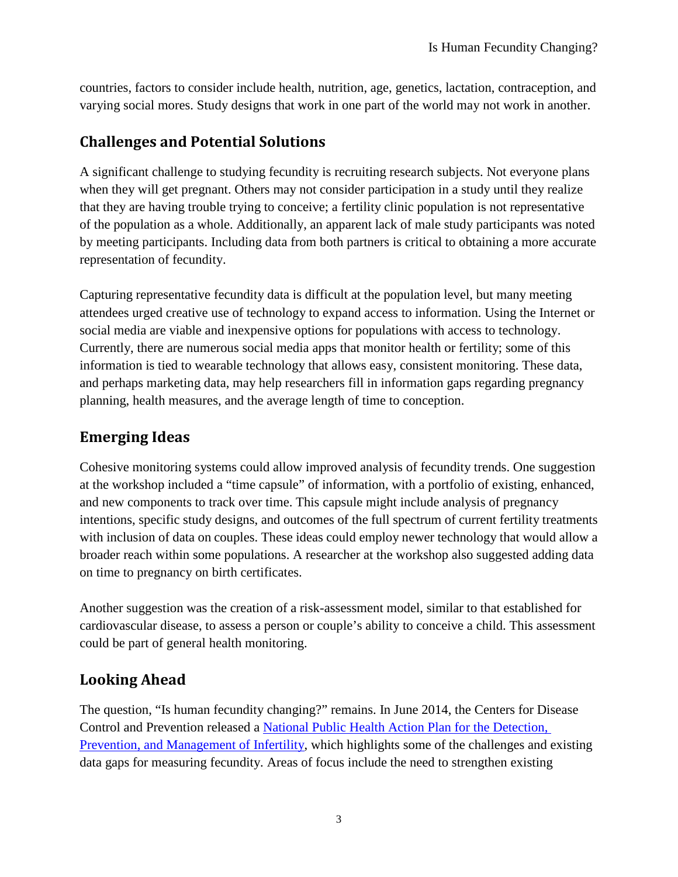countries, factors to consider include health, nutrition, age, genetics, lactation, contraception, and varying social mores. Study designs that work in one part of the world may not work in another.

### **Challenges and Potential Solutions**

A significant challenge to studying fecundity is recruiting research subjects. Not everyone plans when they will get pregnant. Others may not consider participation in a study until they realize that they are having trouble trying to conceive; a fertility clinic population is not representative of the population as a whole. Additionally, an apparent lack of male study participants was noted by meeting participants. Including data from both partners is critical to obtaining a more accurate representation of fecundity.

Capturing representative fecundity data is difficult at the population level, but many meeting attendees urged creative use of technology to expand access to information. Using the Internet or social media are viable and inexpensive options for populations with access to technology. Currently, there are numerous social media apps that monitor health or fertility; some of this information is tied to wearable technology that allows easy, consistent monitoring. These data, and perhaps marketing data, may help researchers fill in information gaps regarding pregnancy planning, health measures, and the average length of time to conception.

# **Emerging Ideas**

Cohesive monitoring systems could allow improved analysis of fecundity trends. One suggestion at the workshop included a "time capsule" of information, with a portfolio of existing, enhanced, and new components to track over time. This capsule might include analysis of pregnancy intentions, specific study designs, and outcomes of the full spectrum of current fertility treatments with inclusion of data on couples. These ideas could employ newer technology that would allow a broader reach within some populations. A researcher at the workshop also suggested adding data on time to pregnancy on birth certificates.

Another suggestion was the creation of a risk-assessment model, similar to that established for cardiovascular disease, to assess a person or couple's ability to conceive a child. This assessment could be part of general health monitoring.

## **Looking Ahead**

The question, "Is human fecundity changing?" remains. In June 2014, the Centers for Disease Control and Prevention released a [National Public Health Action Plan for the Detection,](http://www.cdc.gov/reproductivehealth/infertility/publichealth.htm)  [Prevention, and Management of Infertility,](http://www.cdc.gov/reproductivehealth/infertility/publichealth.htm) which highlights some of the challenges and existing data gaps for measuring fecundity. Areas of focus include the need to strengthen existing